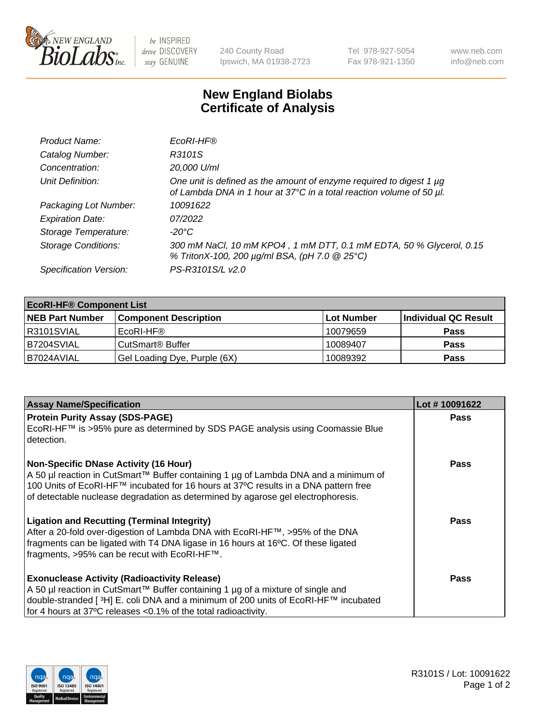

 $be$  INSPIRED drive DISCOVERY stay GENUINE

240 County Road Ipswich, MA 01938-2723 Tel 978-927-5054 Fax 978-921-1350 www.neb.com info@neb.com

## **New England Biolabs Certificate of Analysis**

| Product Name:              | EcoRI-HF®                                                                                                                                   |
|----------------------------|---------------------------------------------------------------------------------------------------------------------------------------------|
| Catalog Number:            | R3101S                                                                                                                                      |
| Concentration:             | 20,000 U/ml                                                                                                                                 |
| Unit Definition:           | One unit is defined as the amount of enzyme required to digest 1 µg<br>of Lambda DNA in 1 hour at 37°C in a total reaction volume of 50 µl. |
| Packaging Lot Number:      | 10091622                                                                                                                                    |
| <b>Expiration Date:</b>    | 07/2022                                                                                                                                     |
| Storage Temperature:       | -20°C                                                                                                                                       |
| <b>Storage Conditions:</b> | 300 mM NaCl, 10 mM KPO4, 1 mM DTT, 0.1 mM EDTA, 50 % Glycerol, 0.15<br>% TritonX-100, 200 µg/ml BSA, (pH 7.0 @ 25°C)                        |
| Specification Version:     | PS-R3101S/L v2.0                                                                                                                            |

| <b>EcoRI-HF® Component List</b> |                                    |            |                      |  |  |
|---------------------------------|------------------------------------|------------|----------------------|--|--|
| <b>NEB Part Number</b>          | <b>Component Description</b>       | Lot Number | Individual QC Result |  |  |
| R3101SVIAL                      | EcoRI-HF®                          | 10079659   | <b>Pass</b>          |  |  |
| B7204SVIAL                      | <b>CutSmart<sup>®</sup> Buffer</b> | 10089407   | <b>Pass</b>          |  |  |
| B7024AVIAL                      | Gel Loading Dye, Purple (6X)       | 10089392   | <b>Pass</b>          |  |  |

| <b>Assay Name/Specification</b>                                                                                                                                                                                                                                | Lot #10091622 |
|----------------------------------------------------------------------------------------------------------------------------------------------------------------------------------------------------------------------------------------------------------------|---------------|
| <b>Protein Purity Assay (SDS-PAGE)</b>                                                                                                                                                                                                                         | <b>Pass</b>   |
| EcoRI-HF™ is >95% pure as determined by SDS PAGE analysis using Coomassie Blue<br>detection.                                                                                                                                                                   |               |
| <b>Non-Specific DNase Activity (16 Hour)</b>                                                                                                                                                                                                                   | Pass          |
| A 50 µl reaction in CutSmart™ Buffer containing 1 µg of Lambda DNA and a minimum of<br>100 Units of EcoRI-HF™ incubated for 16 hours at 37°C results in a DNA pattern free<br>of detectable nuclease degradation as determined by agarose gel electrophoresis. |               |
| <b>Ligation and Recutting (Terminal Integrity)</b>                                                                                                                                                                                                             | Pass          |
| After a 20-fold over-digestion of Lambda DNA with EcoRI-HF™, >95% of the DNA                                                                                                                                                                                   |               |
| fragments can be ligated with T4 DNA ligase in 16 hours at 16°C. Of these ligated                                                                                                                                                                              |               |
| fragments, >95% can be recut with EcoRI-HF™.                                                                                                                                                                                                                   |               |
| <b>Exonuclease Activity (Radioactivity Release)</b>                                                                                                                                                                                                            | Pass          |
| A 50 µl reaction in CutSmart™ Buffer containing 1 µg of a mixture of single and                                                                                                                                                                                |               |
| double-stranded [ <sup>3</sup> H] E. coli DNA and a minimum of 200 units of EcoRI-HF™ incubated                                                                                                                                                                |               |
| for 4 hours at 37°C releases <0.1% of the total radioactivity.                                                                                                                                                                                                 |               |